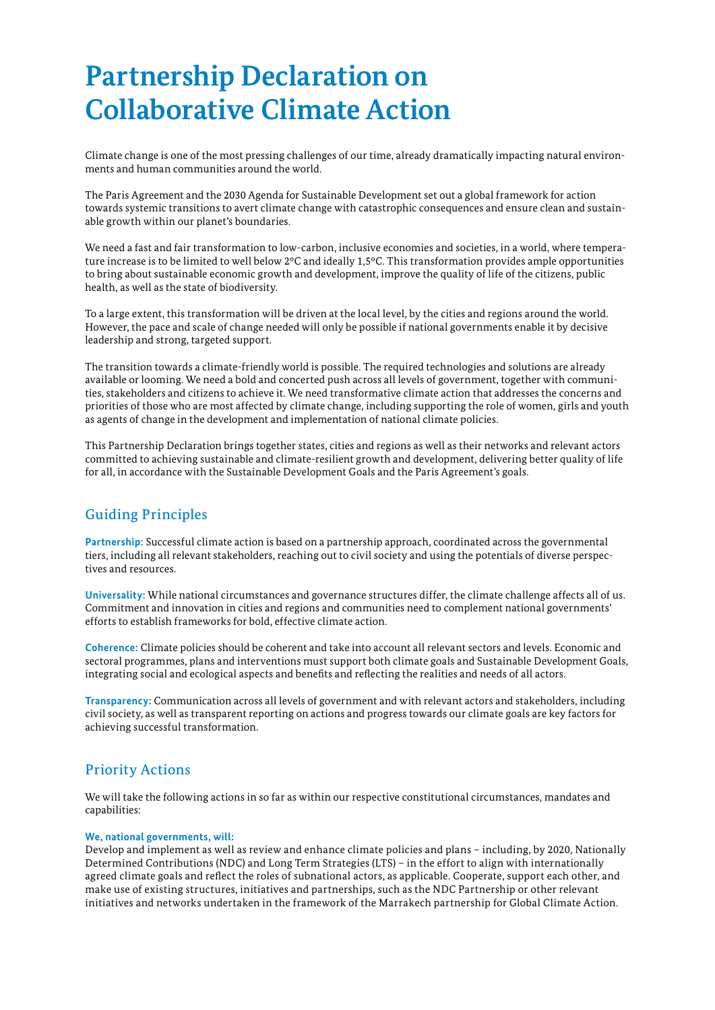# **Partnership Declaration on Collaborative Climate Action**

Climate change is one of the most pressing challenges of our time, already dramatically impacting natural environments and human communities around the world.

The Paris Agreement and the 2030 Agenda for Sustainable Development set out a global framework for action towards systemic transitions to avert climate change with catastrophic consequences and ensure clean and sustainable growth within our planet's boundaries.

We need a fast and fair transformation to low-carbon, inclusive economies and societies, in a world, where temperature increase is to be limited to well below 2°C and ideally 1,5°C. This transformation provides ample opportunities to bring about sustainable economic growth and development, improve the quality of life of the citizens, public health, as well as the state of biodiversity.

To a large extent, this transformation will be driven at the local level, by the cities and regions around the world. However, the pace and scale of change needed will only be possible if national governments enable it by decisive leadership and strong, targeted support.

The transition towards a climate-friendly world is possible. The required technologies and solutions are already available or looming. We need a bold and concerted push across all levels of government, together with communities, stakeholders and citizens to achieve it. We need transformative climate action that addresses the concerns and priorities of those who are most affected by climate change, including supporting the role of women, girls and youth as agents of change in the development and implementation of national climate policies.

This Partnership Declaration brings together states, cities and regions as well as their networks and relevant actors committed to achieving sustainable and climate-resilient growth and development, delivering better quality of life for all, in accordance with the Sustainable Development Goals and the Paris Agreement's goals.

# Guiding Principles

**Partnership:** Successful climate action is based on a partnership approach, coordinated across the governmental tiers, including all relevant stakeholders, reaching out to civil society and using the potentials of diverse perspectives and resources.

**Universality:** While national circumstances and governance structures differ, the climate challenge affects all of us. Commitment and innovation in cities and regions and communities need to complement national governments' efforts to establish frameworks for bold, effective climate action.

**Coherence:** Climate policies should be coherent and take into account all relevant sectors and levels. Economic and sectoral programmes, plans and interventions must support both climate goals and Sustainable Development Goals, integrating social and ecological aspects and benefits and reflecting the realities and needs of all actors.

**Transparency:** Communication across all levels of government and with relevant actors and stakeholders, including civil society, as well as transparent reporting on actions and progress towards our climate goals are key factors for achieving successful transformation.

# Priority Actions

We will take the following actions in so far as within our respective constitutional circumstances, mandates and capabilities:

## **We, national governments, will:**

Develop and implement as well as review and enhance climate policies and plans – including, by 2020, Nationally Determined Contributions (NDC) and Long Term Strategies (LTS) – in the effort to align with internationally agreed climate goals and reflect the roles of subnational actors, as applicable. Cooperate, support each other, and make use of existing structures, initiatives and partnerships, such as the NDC Partnership or other relevant initiatives and networks undertaken in the framework of the Marrakech partnership for Global Climate Action.